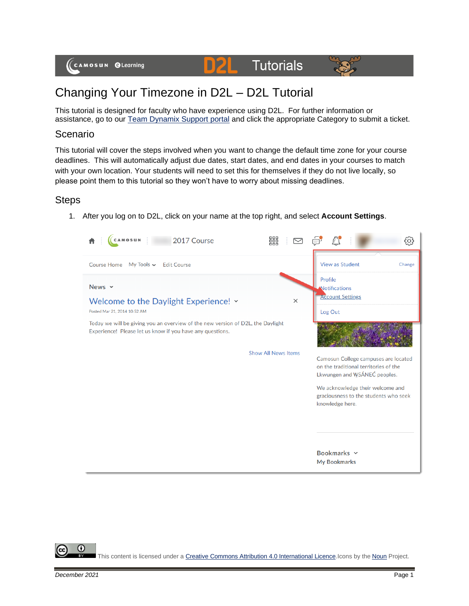

## Changing Your Timezone in D2L – D2L Tutorial

D

This tutorial is designed for faculty who have experience using D2L. For further information or assistance, go to our [Team Dynamix Support portal](https://camosun.teamdynamix.com/TDClient/67/Portal/Requests/ServiceCatalog?CategoryID=523) and click the appropriate Category to submit a ticket.

## Scenario

This tutorial will cover the steps involved when you want to change the default time zone for your course deadlines. This will automatically adjust due dates, start dates, and end dates in your courses to match with your own location. Your students will need to set this for themselves if they do not live locally, so please point them to this tutorial so they won't have to worry about missing deadlines.

## **Steps**

1. After you log on to D2L, click on your name at the top right, and select **Account Settings**.



⋒ This content is licensed under [a Creative Commons Attribution 4.0 International Licence.I](https://creativecommons.org/licenses/by/4.0/)cons by the [Noun](https://creativecommons.org/website-icons/) Project.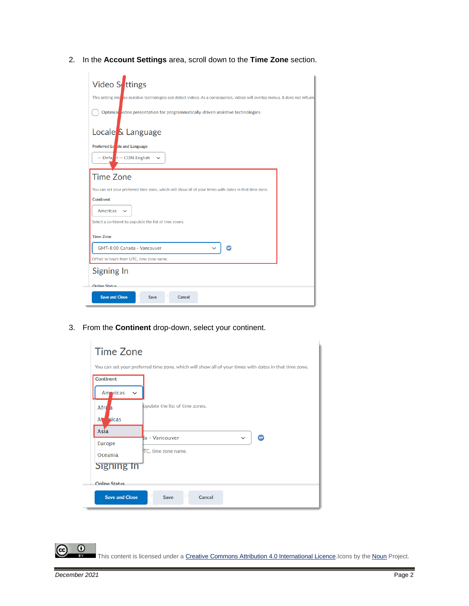2. In the **Account Settings** area, scroll down to the **Time Zone** section.

| Video S <b>t</b> tings                                                                                                           |  |  |  |
|----------------------------------------------------------------------------------------------------------------------------------|--|--|--|
| This setting ensigles assistive technologies can detect videos. As a consequence, videos will overlap menus. It does not influen |  |  |  |
| Optimize video presentation for programmatically-driven assistive technologies                                                   |  |  |  |
| Locale <sup>k</sup> Language                                                                                                     |  |  |  |
| Preferred Lonale and Language                                                                                                    |  |  |  |
| -- Defa <b>l</b> t -- CDN English<br>$\checkmark$                                                                                |  |  |  |
| <b>Time Zone</b>                                                                                                                 |  |  |  |
| You can set your preferred time zone, which will show all of your times with dates in that time zone.                            |  |  |  |
| <b>Continent</b>                                                                                                                 |  |  |  |
| <b>Americas</b><br>$\checkmark$                                                                                                  |  |  |  |
| Select a continent to populate the list of time zones.                                                                           |  |  |  |
| <b>Time Zone</b>                                                                                                                 |  |  |  |
| GMT-8:00 Canada - Vancouver                                                                                                      |  |  |  |
| Offset in hours from UTC, time zone name.                                                                                        |  |  |  |
| Signing In                                                                                                                       |  |  |  |
| Online Status                                                                                                                    |  |  |  |
| <b>Save and Close</b><br><b>Save</b><br>Cancel                                                                                   |  |  |  |

3. From the **Continent** drop-down, select your continent.

| <b>Time Zone</b>                                                                                      |                                 |  |
|-------------------------------------------------------------------------------------------------------|---------------------------------|--|
| You can set your preferred time zone, which will show all of your times with dates in that time zone. |                                 |  |
| <b>Continent</b><br>Amoricas<br>$\checkmark$                                                          |                                 |  |
| Afri<br>-a<br><b>Ficas</b><br>A                                                                       | opulate the list of time zones. |  |
| Asia                                                                                                  | la - Vancouver<br>$\checkmark$  |  |
| Europe<br>Oceania                                                                                     | TC, time zone name.             |  |
| Signing In                                                                                            |                                 |  |
| Online Status                                                                                         |                                 |  |
| <b>Save and Close</b>                                                                                 | Save<br>Cancel                  |  |

This content is licensed under [a Creative Commons Attribution 4.0 International Licence.I](https://creativecommons.org/licenses/by/4.0/)cons by the [Noun](https://creativecommons.org/website-icons/) Project.

 $\overline{0}$ 

(cc